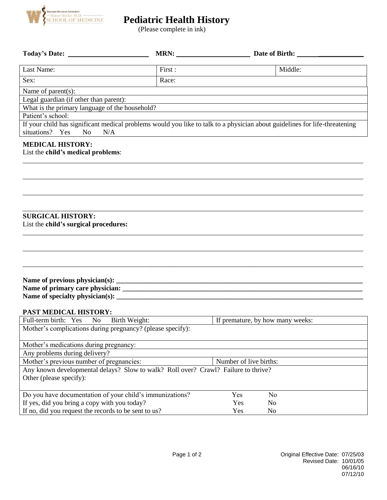

# **Pediatric Health History**

(Please complete in ink)

|                                                                                                                                                                        |         | MRN:                             | Date of Birth: |
|------------------------------------------------------------------------------------------------------------------------------------------------------------------------|---------|----------------------------------|----------------|
| Last Name:                                                                                                                                                             | First : |                                  | Middle:        |
| Sex:                                                                                                                                                                   | Race:   |                                  |                |
| Name of parent(s):                                                                                                                                                     |         |                                  |                |
| Legal guardian (if other than parent):                                                                                                                                 |         |                                  |                |
| What is the primary language of the household?                                                                                                                         |         |                                  |                |
| Patient's school:                                                                                                                                                      |         |                                  |                |
| If your child has significant medical problems would you like to talk to a physician about guidelines for life-threatening<br>situations? Yes<br>N <sub>O</sub><br>N/A |         |                                  |                |
| <b>MEDICAL HISTORY:</b><br>List the child's medical problems:                                                                                                          |         |                                  |                |
| <b>SURGICAL HISTORY:</b><br>List the child's surgical procedures:                                                                                                      |         |                                  |                |
|                                                                                                                                                                        |         |                                  |                |
| PAST MEDICAL HISTORY:                                                                                                                                                  |         |                                  |                |
| Full-term birth: Yes<br>Birth Weight:<br>N <sub>0</sub>                                                                                                                |         | If premature, by how many weeks: |                |
| Mother's complications during pregnancy? (please specify):                                                                                                             |         |                                  |                |
| Mother's medications during pregnancy:<br>Any problems during delivery?                                                                                                |         |                                  |                |
| Mother's previous number of pregnancies:                                                                                                                               |         | Number of live births:           |                |
| Any known developmental delays? Slow to walk? Roll over? Crawl? Failure to thrive?<br>Other (please specify):                                                          |         |                                  |                |
| Do you have documentation of your child's immunizations?                                                                                                               |         | Yes                              | N <sub>0</sub> |
| If yes, did you bring a copy with you today?                                                                                                                           |         | Yes                              | No             |
| If no, did you request the records to be sent to us?                                                                                                                   |         | Yes                              | N <sub>o</sub> |
|                                                                                                                                                                        |         |                                  |                |